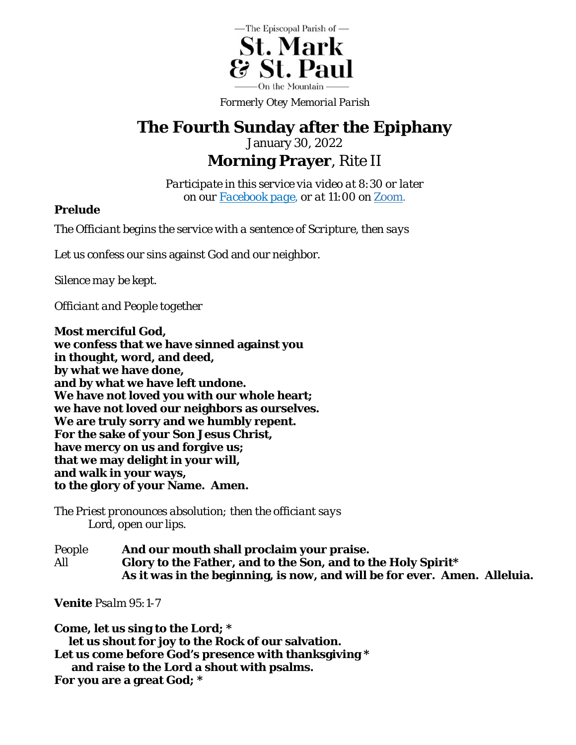

*Formerly Otey Memorial Parish* 

# **The Fourth Sunday after the Epiphany**

January 30, 2022

# **Morning Prayer**, Rite II

*Participate in this service via video at 8:30 or later on our Facebook page, or at 11:00 on Zoom.* 

## **Prelude**

*The Officiant begins the service with a sentence of Scripture, then says* 

Let us confess our sins against God and our neighbor.

*Silence may be kept.* 

*Officiant and People together* 

**Most merciful God, we confess that we have sinned against you in thought, word, and deed, by what we have done, and by what we have left undone. We have not loved you with our whole heart; we have not loved our neighbors as ourselves. We are truly sorry and we humbly repent. For the sake of your Son Jesus Christ, have mercy on us and forgive us; that we may delight in your will, and walk in your ways, to the glory of your Name. Amen.** 

*The Priest pronounces absolution; then the officiant says*  Lord, open our lips.

*People* **And our mouth shall proclaim your praise.** *All* **Glory to the Father, and to the Son, and to the Holy Spirit\* As it was in the beginning, is now, and will be for ever. Amen. Alleluia.** 

**Venite** *Psalm 95:1-7* 

**Come, let us sing to the Lord; \* let us shout for joy to the Rock of our salvation. Let us come before God's presence with thanksgiving \* and raise to the Lord a shout with psalms. For you are a great God; \***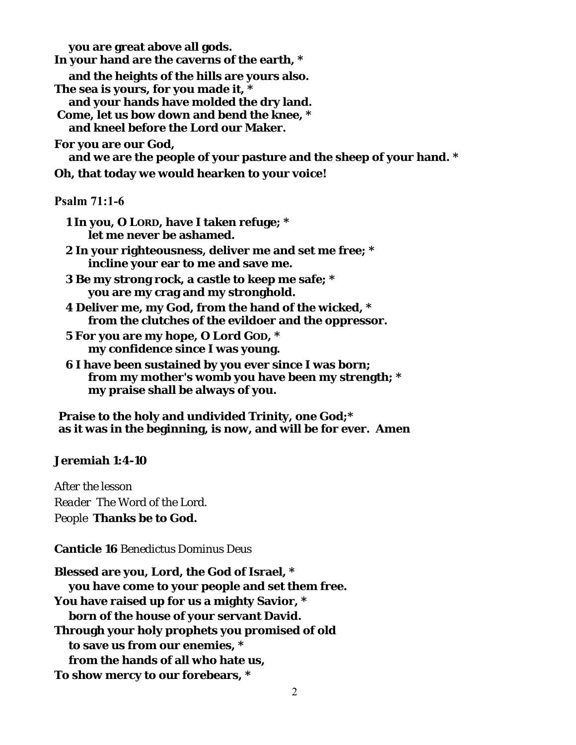**you are great above all gods. In your hand are the caverns of the earth, \* and the heights of the hills are yours also. The sea is yours, for you made it, \* and your hands have molded the dry land. Come, let us bow down and bend the knee, \* and kneel before the Lord our Maker. For you are our God, and we are the people of your pasture and the sheep of your hand. \* Oh, that today we would hearken to your voice! Psalm 71:1-6 1 In you, O LORD, have I taken refuge; \* let me never be ashamed.** 

- **2 In your righteousness, deliver me and set me free; \* incline your ear to me and save me.**
- **3 Be my strong rock, a castle to keep me safe; \* you are my crag and my stronghold.**
- **4 Deliver me, my God, from the hand of the wicked, \* from the clutches of the evildoer and the oppressor.**
- **5 For you are my hope, O Lord GOD, \* my confidence since I was young.**
- **6 I have been sustained by you ever since I was born; from my mother's womb you have been my strength; \* my praise shall be always of you.**

**Praise to the holy and undivided Trinity, one God;\* as it was in the beginning, is now, and will be for ever. Amen** 

#### **Jeremiah 1:4-10**

*After the lesson Reader* The Word of the Lord. *People* **Thanks be to God.**

### **Canticle 16** *Benedictus Dominus Deus*

**Blessed are you, Lord, the God of Israel, \* you have come to your people and set them free. You have raised up for us a mighty Savior, \* born of the house of your servant David. Through your holy prophets you promised of old to save us from our enemies, \* from the hands of all who hate us, To show mercy to our forebears, \***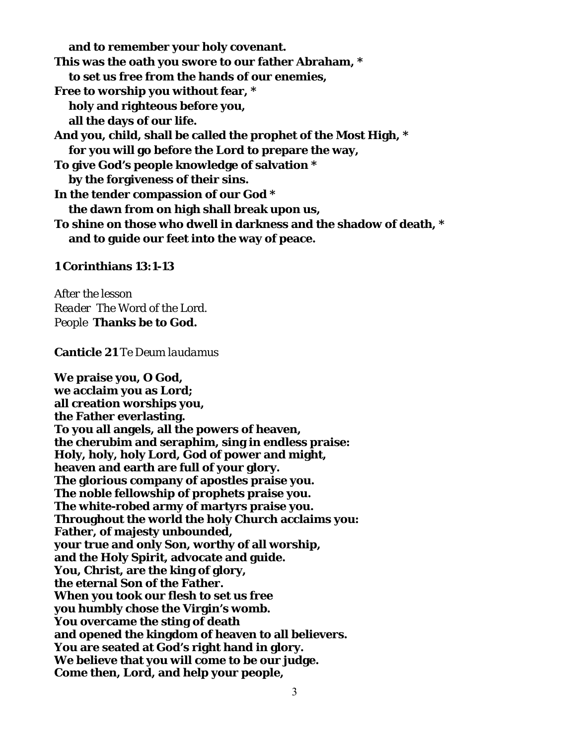**and to remember your holy covenant. This was the oath you swore to our father Abraham, \* to set us free from the hands of our enemies, Free to worship you without fear, \* holy and righteous before you, all the days of our life. And you, child, shall be called the prophet of the Most High, \* for you will go before the Lord to prepare the way, To give God's people knowledge of salvation \* by the forgiveness of their sins. In the tender compassion of our God \* the dawn from on high shall break upon us, To shine on those who dwell in darkness and the shadow of death, \* and to guide our feet into the way of peace.** 

#### **1 Corinthians 13:1-13**

*After the lesson Reader* The Word of the Lord. *People* **Thanks be to God.**

**Canticle 21** *Te Deum laudamus* 

**We praise you, O God, we acclaim you as Lord; all creation worships you, the Father everlasting. To you all angels, all the powers of heaven, the cherubim and seraphim, sing in endless praise: Holy, holy, holy Lord, God of power and might, heaven and earth are full of your glory. The glorious company of apostles praise you. The noble fellowship of prophets praise you. The white-robed army of martyrs praise you. Throughout the world the holy Church acclaims you: Father, of majesty unbounded, your true and only Son, worthy of all worship, and the Holy Spirit, advocate and guide. You, Christ, are the king of glory, the eternal Son of the Father. When you took our flesh to set us free you humbly chose the Virgin's womb. You overcame the sting of death and opened the kingdom of heaven to all believers. You are seated at God's right hand in glory. We believe that you will come to be our judge. Come then, Lord, and help your people,**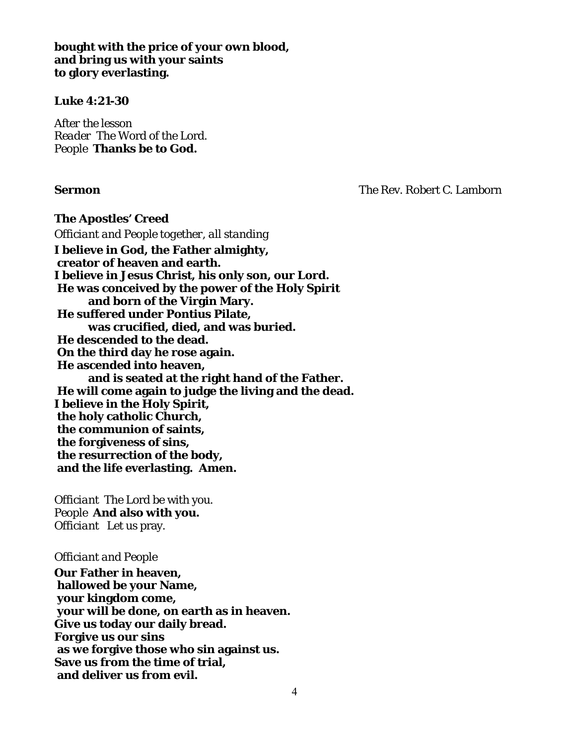## **bought with the price of your own blood, and bring us with your saints to glory everlasting.**

#### **Luke 4:21-30**

*After the lesson Reader* The Word of the Lord. *People* **Thanks be to God.**

**Sermon** The Rev. Robert C. Lamborn

## **The Apostles' Creed**  *Officiant and People together, all standing*  **I believe in God, the Father almighty, creator of heaven and earth. I believe in Jesus Christ, his only son, our Lord. He was conceived by the power of the Holy Spirit and born of the Virgin Mary. He suffered under Pontius Pilate, was crucified, died, and was buried. He descended to the dead. On the third day he rose again. He ascended into heaven, and is seated at the right hand of the Father. He will come again to judge the living and the dead. I believe in the Holy Spirit, the holy catholic Church, the communion of saints, the forgiveness of sins, the resurrection of the body, and the life everlasting. Amen.**

*Officiant* The Lord be with you. *People* **And also with you.** *Officiant* Let us pray.

#### *Officiant and People*

**Our Father in heaven, hallowed be your Name, your kingdom come, your will be done, on earth as in heaven. Give us today our daily bread. Forgive us our sins as we forgive those who sin against us. Save us from the time of trial, and deliver us from evil.**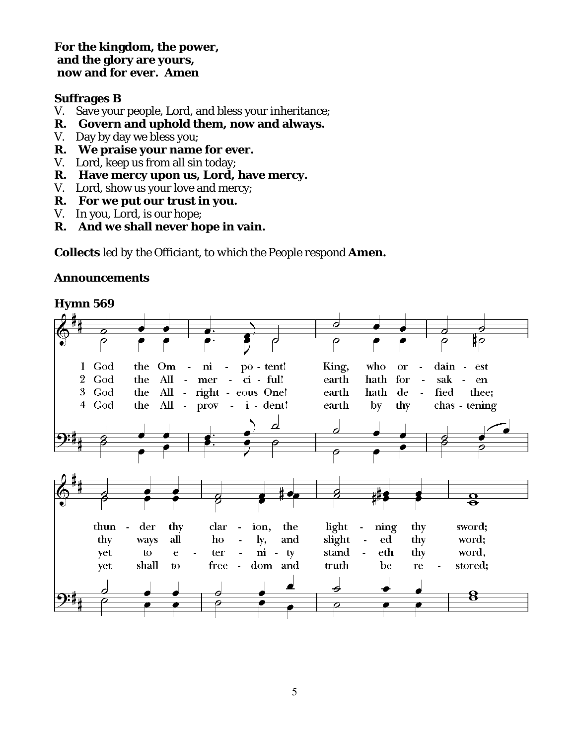## **For the kingdom, the power, and the glory are yours, now and for ever. Amen**

## **Suffrages B**

- V. Save your people, Lord, and bless your inheritance;
- **R. Govern and uphold them, now and always.**
- V. Day by day we bless you;
- **R. We praise your name for ever.**
- V. Lord, keep us from all sin today;
- **R. Have mercy upon us, Lord, have mercy.**
- V. Lord, show us your love and mercy;
- **R. For we put our trust in you.**
- V. In you, Lord, is our hope;
- **R. And we shall never hope in vain.**

**Collects** *led by the Officiant, to which the People respond* **Amen.** 

## **Announcements**

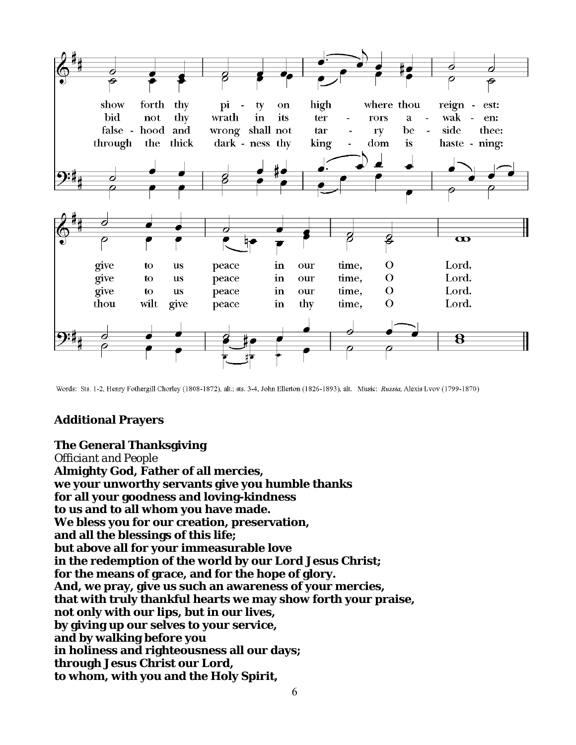

Words: Sts. 1-2, Henry Fothergill Chorley (1808-1872), alt.; sts. 3-4, John Ellerton (1826-1893), alt. Music: Russia, Alexis Lvov (1799-1870)

## **Additional Prayers**

**The General Thanksgiving** *Officiant and People*  **Almighty God, Father of all mercies, we your unworthy servants give you humble thanks for all your goodness and loving-kindness to us and to all whom you have made. We bless you for our creation, preservation, and all the blessings of this life; but above all for your immeasurable love in the redemption of the world by our Lord Jesus Christ; for the means of grace, and for the hope of glory. And, we pray, give us such an awareness of your mercies, that with truly thankful hearts we may show forth your praise, not only with our lips, but in our lives, by giving up our selves to your service, and by walking before you in holiness and righteousness all our days; through Jesus Christ our Lord, to whom, with you and the Holy Spirit,**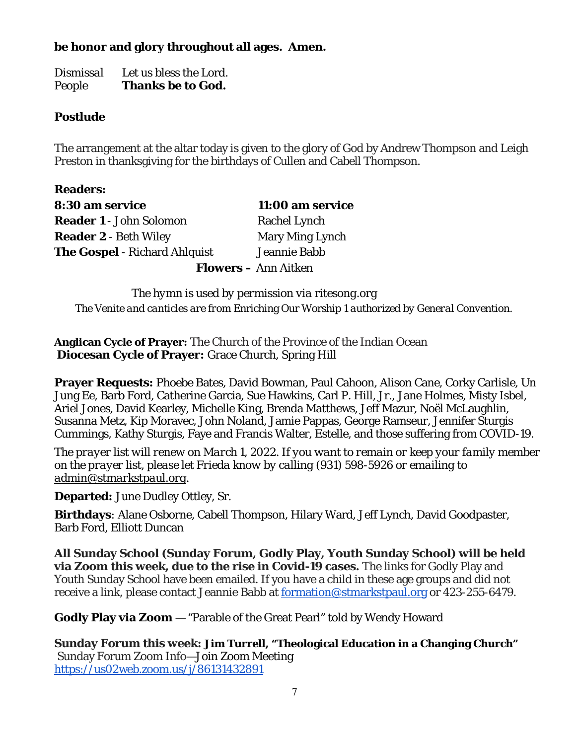## **be honor and glory throughout all ages. Amen.**

*Dismissal* Let us bless the Lord. *People* **Thanks be to God.** 

## **Postlude**

The arrangement at the altar today is given to the glory of God by Andrew Thompson and Leigh Preston in thanksgiving for the birthdays of Cullen and Cabell Thompson.

| <b>Readers:</b>                      |                             |
|--------------------------------------|-----------------------------|
| 8:30 am service                      | 11:00 am service            |
| <b>Reader 1</b> - John Solomon       | Rachel Lynch                |
| <b>Reader 2</b> - Beth Wiley         | Mary Ming Lynch             |
| <b>The Gospel</b> - Richard Ahlquist | Jeannie Babb                |
|                                      | <b>Flowers</b> - Ann Aitken |

*The hymn is used by permission via ritesong.org The Venite and canticles are from* Enriching Our Worship 1 *authorized by General Convention.* 

**Anglican Cycle of Prayer:** The Church of the Province of the Indian Ocean **Diocesan Cycle of Prayer:** Grace Church, Spring Hill

**Prayer Requests:** Phoebe Bates, David Bowman, Paul Cahoon, Alison Cane, Corky Carlisle, Un Jung Ee, Barb Ford, Catherine Garcia, Sue Hawkins, Carl P. Hill, Jr., Jane Holmes, Misty Isbel, Ariel Jones, David Kearley, Michelle King, Brenda Matthews, Jeff Mazur, Noël McLaughlin, Susanna Metz, Kip Moravec, John Noland, Jamie Pappas, George Ramseur, Jennifer Sturgis Cummings, Kathy Sturgis, Faye and Francis Walter, Estelle, and those suffering from COVID-19.

*The prayer list will renew on March 1, 2022. If you want to remain or keep your family member on the prayer list, please let Frieda know by calling (931) 598-5926 or emailing to admin@stmarkstpaul.org.* 

**Departed:** June Dudley Ottley, Sr.

**Birthdays**: Alane Osborne, Cabell Thompson, Hilary Ward, Jeff Lynch, David Goodpaster, Barb Ford, Elliott Duncan

**All Sunday School (Sunday Forum, Godly Play, Youth Sunday School) will be held via Zoom this week, due to the rise in Covid-19 cases.** The links for Godly Play and Youth Sunday School have been emailed. If you have a child in these age groups and did not receive a link, please contact Jeannie Babb at formation@stmarkstpaul.org or 423-255-6479.

**Godly Play via Zoom** — "Parable of the Great Pearl" told by Wendy Howard

**Sunday Forum this week: Jim Turrell, "Theological Education in a Changing Church"**  Sunday Forum Zoom Info—Join Zoom Meeting https://us02web.zoom.us/j/86131432891